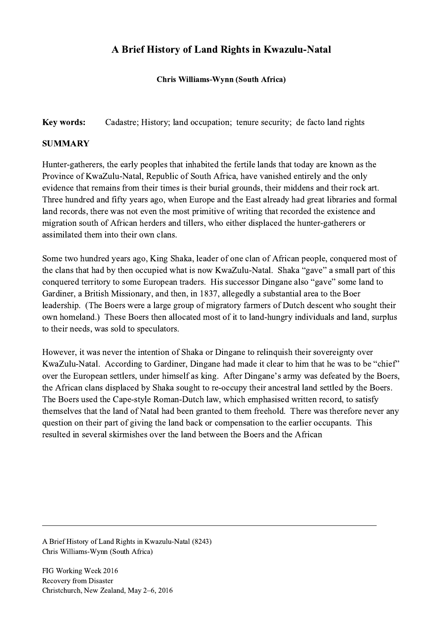## A Brief History of Land Rights in Kwazulu-Natal

Chris Williams-Wynn (South Africa)

Key words: Cadastre; History; land occupation; tenure security; de facto land rights

## **SUMMARY**

Hunter-gatherers, the early peoples that inhabited the fertile lands that today are known as the Province of KwaZulu-Natal, Republic of South Africa, have vanished entirely and the only evidence that remains from their times is their burial grounds, their middens and their rock art. Three hundred and fifty years ago, when Europe and the East already had great libraries and formal land records, there was not even the most primitive of writing that recorded the existence and migration south of African herders and tillers, who either displaced the hunter-gatherers or assimilated them into their own clans.

Some two hundred years ago, King Shaka, leader of one clan of African people, conquered most of the clans that had by then occupied what is now KwaZulu-Natal. Shaka "gave" a small part of this conquered territory to some European traders. His successor Dingane also "gave" some land to Gardiner, a British Missionary, and then, in 1837, allegedly a substantial area to the Boer leadership. (The Boers were a large group of migratory farmers of Dutch descent who sought their own homeland.) These Boers then allocated most of it to land-hungry individuals and land, surplus to their needs, was sold to speculators.

However, it was never the intention of Shaka or Dingane to relinquish their sovereignty over KwaZulu-Natal. According to Gardiner, Dingane had made it clear to him that he was to be "chief" over the European settlers, under himself as king. After Dingane's army was defeated by the Boers, the African clans displaced by Shaka sought to re-occupy their ancestral land settled by the Boers. The Boers used the Cape-style Roman-Dutch law, which emphasised written record, to satisfy themselves that the land of Natal had been granted to them freehold. There was therefore never any question on their part of giving the land back or compensation to the earlier occupants. This resulted in several skirmishes over the land between the Boers and the African

 $\mathcal{L}_\mathcal{L} = \{ \mathcal{L}_\mathcal{L} = \{ \mathcal{L}_\mathcal{L} = \{ \mathcal{L}_\mathcal{L} = \{ \mathcal{L}_\mathcal{L} = \{ \mathcal{L}_\mathcal{L} = \{ \mathcal{L}_\mathcal{L} = \{ \mathcal{L}_\mathcal{L} = \{ \mathcal{L}_\mathcal{L} = \{ \mathcal{L}_\mathcal{L} = \{ \mathcal{L}_\mathcal{L} = \{ \mathcal{L}_\mathcal{L} = \{ \mathcal{L}_\mathcal{L} = \{ \mathcal{L}_\mathcal{L} = \{ \mathcal{L}_\mathcal{$ 

A Brief History of Land Rights in Kwazulu-Natal (8243) Chris Williams-Wynn (South Africa)

FIG Working Week 2016 Recovery from Disaster Christchurch, New Zealand, May 2–6, 2016